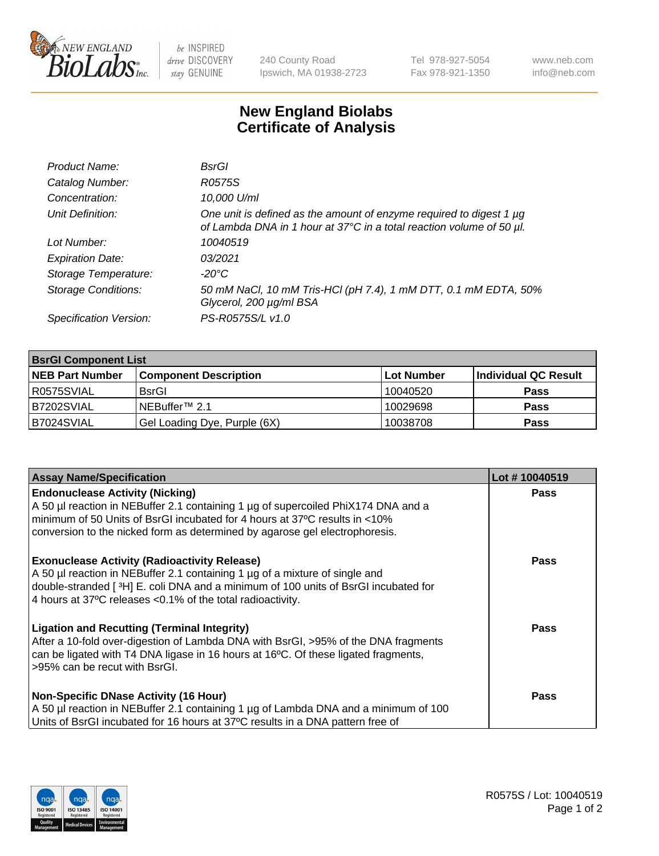

 $be$  INSPIRED drive DISCOVERY stay GENUINE

240 County Road Ipswich, MA 01938-2723 Tel 978-927-5054 Fax 978-921-1350 www.neb.com info@neb.com

## **New England Biolabs Certificate of Analysis**

| Product Name:              | BsrGl                                                                                                                                       |
|----------------------------|---------------------------------------------------------------------------------------------------------------------------------------------|
| Catalog Number:            | R0575S                                                                                                                                      |
| Concentration:             | 10,000 U/ml                                                                                                                                 |
| Unit Definition:           | One unit is defined as the amount of enzyme required to digest 1 µg<br>of Lambda DNA in 1 hour at 37°C in a total reaction volume of 50 µl. |
| Lot Number:                | 10040519                                                                                                                                    |
| <b>Expiration Date:</b>    | 0.3/2021                                                                                                                                    |
| Storage Temperature:       | $-20^{\circ}$ C                                                                                                                             |
| <b>Storage Conditions:</b> | 50 mM NaCl, 10 mM Tris-HCl (pH 7.4), 1 mM DTT, 0.1 mM EDTA, 50%<br>Glycerol, 200 µg/ml BSA                                                  |
| Specification Version:     | PS-R0575S/L v1.0                                                                                                                            |

| <b>BsrGI Component List</b> |                              |             |                      |  |  |
|-----------------------------|------------------------------|-------------|----------------------|--|--|
| <b>NEB Part Number</b>      | <b>Component Description</b> | ∣Lot Number | Individual QC Result |  |  |
| I R0575SVIAL                | <b>BsrGI</b>                 | 10040520    | <b>Pass</b>          |  |  |
| B7202SVIAL                  | l NEBuffer™ 2.1              | 10029698    | <b>Pass</b>          |  |  |
| B7024SVIAL                  | Gel Loading Dye, Purple (6X) | 10038708    | <b>Pass</b>          |  |  |

| <b>Assay Name/Specification</b>                                                                                                                                                                                                                                                                      | Lot #10040519 |
|------------------------------------------------------------------------------------------------------------------------------------------------------------------------------------------------------------------------------------------------------------------------------------------------------|---------------|
| <b>Endonuclease Activity (Nicking)</b><br>A 50 µl reaction in NEBuffer 2.1 containing 1 µg of supercoiled PhiX174 DNA and a<br>minimum of 50 Units of BsrGI incubated for 4 hours at 37°C results in <10%<br>conversion to the nicked form as determined by agarose gel electrophoresis.             | <b>Pass</b>   |
| <b>Exonuclease Activity (Radioactivity Release)</b><br>A 50 µl reaction in NEBuffer 2.1 containing 1 µg of a mixture of single and<br>double-stranded [ <sup>3</sup> H] E. coli DNA and a minimum of 100 units of BsrGI incubated for<br>4 hours at 37°C releases < 0.1% of the total radioactivity. | <b>Pass</b>   |
| <b>Ligation and Recutting (Terminal Integrity)</b><br>After a 10-fold over-digestion of Lambda DNA with BsrGI, >95% of the DNA fragments<br>can be ligated with T4 DNA ligase in 16 hours at 16°C. Of these ligated fragments,<br>>95% can be recut with BsrGI.                                      | <b>Pass</b>   |
| <b>Non-Specific DNase Activity (16 Hour)</b><br>A 50 µl reaction in NEBuffer 2.1 containing 1 µg of Lambda DNA and a minimum of 100<br>Units of BsrGI incubated for 16 hours at 37°C results in a DNA pattern free of                                                                                | <b>Pass</b>   |